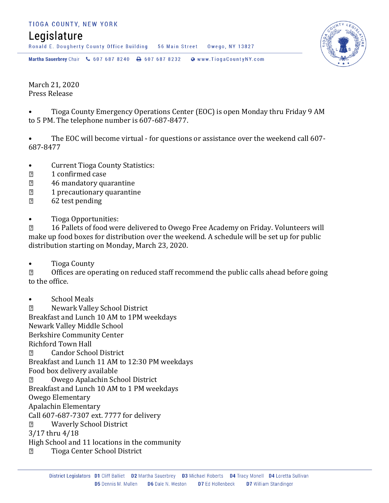## TIOGA COUNTY, NEW YORK

## Legislature

Ronald E. Dougherty County Office Building 56 Main Street Owego, NY 13827

Martha Sauerbrey Chair & 607 687 8240 <a>B</a>607 687 8232 <a>B</a>Www.TiogaCountyNY.com

March 21, 2020 Press Release

• Tioga County Emergency Operations Center (EOC) is open Monday thru Friday 9 AM to 5 PM. The telephone number is 607-687-8477.

• The EOC will become virtual - for questions or assistance over the weekend call 607- 687-8477

- Current Tioga County Statistics:
- 1 confirmed case  $\overline{2}$
- $\sqrt{2}$ 46 mandatory quarantine
- $\overline{2}$ 1 precautionary quarantine
- $\overline{2}$ 62 test pending
- Tioga Opportunities:

16 Pallets of food were delivered to Owego Free Academy on Friday. Volunteers will  $\overline{2}$ make up food boxes for distribution over the weekend. A schedule will be set up for public distribution starting on Monday, March 23, 2020.

• Tioga County

 $\overline{2}$ Offices are operating on reduced staff recommend the public calls ahead before going to the office.

• School Meals

 $\overline{2}$ Newark Valley School District Breakfast and Lunch 10 AM to 1PM weekdays Newark Valley Middle School Berkshire Community Center Richford Town Hall Candor School District  $\overline{2}$ Breakfast and Lunch 11 AM to 12:30 PM weekdays Food box delivery available Owego Apalachin School District  $\overline{2}$ Breakfast and Lunch 10 AM to 1 PM weekdays Owego Elementary Apalachin Elementary Call 607-687-7307 ext. 7777 for delivery Waverly School District  $\overline{2}$ 3/17 thru 4/18 High School and 11 locations in the community Tioga Center School District $\sqrt{2}$